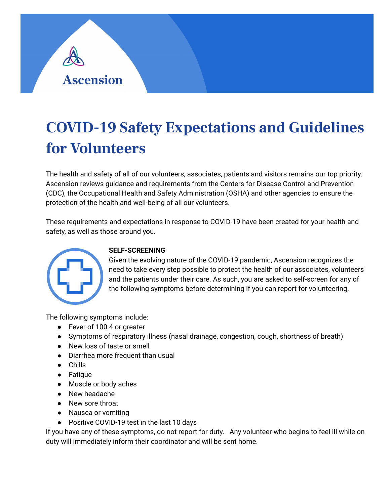

# **COVID-19 Safety Expectations and Guidelines for Volunteers**

The health and safety of all of our volunteers, associates, patients and visitors remains our top priority. Ascension reviews guidance and requirements from the Centers for Disease Control and Prevention (CDC), the Occupational Health and Safety Administration (OSHA) and other agencies to ensure the protection of the health and well-being of all our volunteers.

These requirements and expectations in response to COVID-19 have been created for your health and safety, as well as those around you.



# **SELF-SCREENING**

Given the evolving nature of the COVID-19 pandemic, Ascension recognizes the need to take every step possible to protect the health of our associates, volunteers and the patients under their care. As such, you are asked to self-screen for any of the following symptoms before determining if you can report for volunteering.

The following symptoms include:

- Fever of 100.4 or greater
- Symptoms of respiratory illness (nasal drainage, congestion, cough, shortness of breath)
- New loss of taste or smell
- Diarrhea more frequent than usual
- Chills
- Fatigue
- Muscle or body aches
- New headache
- New sore throat
- Nausea or vomiting
- Positive COVID-19 test in the last 10 days

If you have any of these symptoms, do not report for duty. Any volunteer who begins to feel ill while on duty will immediately inform their coordinator and will be sent home.